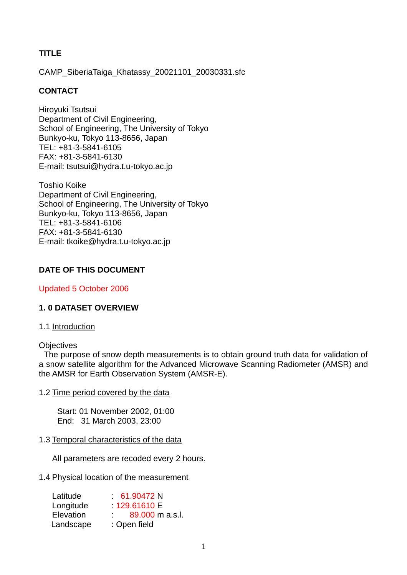# **TITLE**

CAMP\_SiberiaTaiga\_Khatassy\_20021101\_20030331.sfc

# **CONTACT**

Hiroyuki Tsutsui Department of Civil Engineering, School of Engineering, The University of Tokyo Bunkyo-ku, Tokyo 113-8656, Japan TEL: +81-3-5841-6105 FAX: +81-3-5841-6130 E-mail: tsutsui@hydra.t.u-tokyo.ac.jp

Toshio Koike Department of Civil Engineering, School of Engineering, The University of Tokyo Bunkyo-ku, Tokyo 113-8656, Japan TEL: +81-3-5841-6106 FAX: +81-3-5841-6130 E-mail: tkoike@hydra.t.u-tokyo.ac.jp

# **DATE OF THIS DOCUMENT**

Updated 5 October 2006

# **1. 0 DATASET OVERVIEW**

### 1.1 Introduction

### **Objectives**

 The purpose of snow depth measurements is to obtain ground truth data for validation of a snow satellite algorithm for the Advanced Microwave Scanning Radiometer (AMSR) and the AMSR for Earth Observation System (AMSR-E).

### 1.2 Time period covered by the data

Start: 01 November 2002, 01:00 End: 31 March 2003, 23:00

### 1.3 Temporal characteristics of the data

All parameters are recoded every 2 hours.

### 1.4 Physical location of the measurement

| Latitude  | 61.90472 N                                         |
|-----------|----------------------------------------------------|
| Longitude | 129.61610 E                                        |
| Elevation | 89,000 m a.s.l.<br>$\mathcal{F}_{\mathcal{F}}$ and |
| Landscape | : Open field                                       |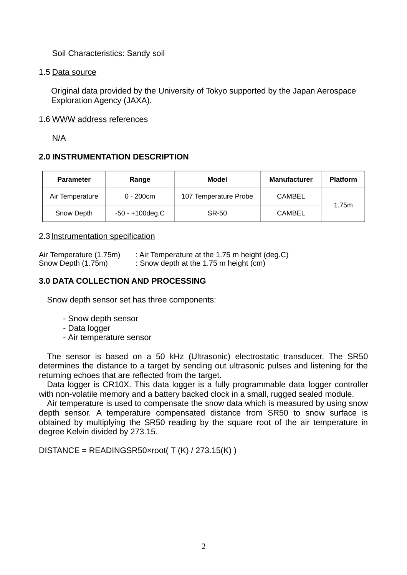Soil Characteristics: Sandy soil

### 1.5 Data source

Original data provided by the University of Tokyo supported by the Japan Aerospace Exploration Agency (JAXA).

## 1.6 WWW address references

N/A

# **2.0 INSTRUMENTATION DESCRIPTION**

| <b>Parameter</b> | Range              | Model                 | <b>Manufacturer</b> | <b>Platform</b> |
|------------------|--------------------|-----------------------|---------------------|-----------------|
| Air Temperature  | $0 - 200$ cm       | 107 Temperature Probe | <b>CAMBEL</b>       |                 |
| Snow Depth       | $-50 - +100$ deg.C | <b>SR-50</b>          | <b>CAMBEL</b>       | 1.75m           |

## 2.3 Instrumentation specification

Air Temperature (1.75m) : Air Temperature at the 1.75 m height (deg.C) Snow Depth (1.75m) : Snow depth at the 1.75 m height (cm)

# **3.0 DATA COLLECTION AND PROCESSING**

Snow depth sensor set has three components:

- Snow depth sensor
- Data logger
- Air temperature sensor

The sensor is based on a 50 kHz (Ultrasonic) electrostatic transducer. The SR50 determines the distance to a target by sending out ultrasonic pulses and listening for the returning echoes that are reflected from the target.

Data logger is CR10X. This data logger is a fully programmable data logger controller with non-volatile memory and a battery backed clock in a small, rugged sealed module.

Air temperature is used to compensate the snow data which is measured by using snow depth sensor. A temperature compensated distance from SR50 to snow surface is obtained by multiplying the SR50 reading by the square root of the air temperature in degree Kelvin divided by 273.15.

DISTANCE = READINGSR50×root(  $T(K)$  / 273.15(K))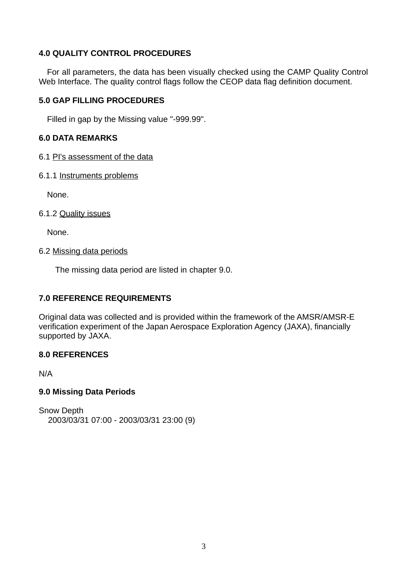## **4.0 QUALITY CONTROL PROCEDURES**

For all parameters, the data has been visually checked using the CAMP Quality Control Web Interface. The quality control flags follow the CEOP data flag definition document.

### **5.0 GAP FILLING PROCEDURES**

Filled in gap by the Missing value "-999.99".

### **6.0 DATA REMARKS**

- 6.1 PI's assessment of the data
- 6.1.1 Instruments problems

None.

### 6.1.2 Quality issues

None.

### 6.2 Missing data periods

The missing data period are listed in chapter 9.0.

### **7.0 REFERENCE REQUIREMENTS**

Original data was collected and is provided within the framework of the AMSR/AMSR-E verification experiment of the Japan Aerospace Exploration Agency (JAXA), financially supported by JAXA.

### **8.0 REFERENCES**

N/A

### **9.0 Missing Data Periods**

Snow Depth 2003/03/31 07:00 - 2003/03/31 23:00 (9)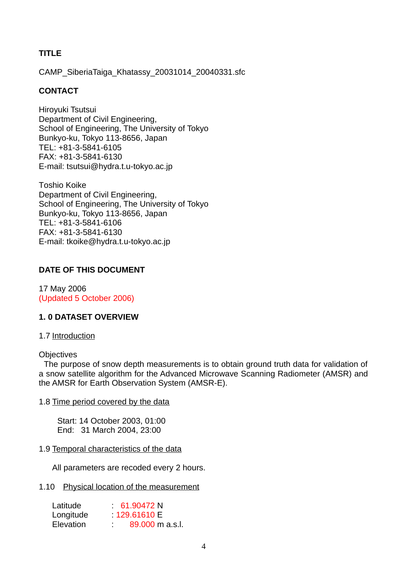# **TITLE**

CAMP\_SiberiaTaiga\_Khatassy\_20031014\_20040331.sfc

## **CONTACT**

Hiroyuki Tsutsui Department of Civil Engineering, School of Engineering, The University of Tokyo Bunkyo-ku, Tokyo 113-8656, Japan TEL: +81-3-5841-6105 FAX: +81-3-5841-6130 E-mail: tsutsui@hydra.t.u-tokyo.ac.jp

Toshio Koike Department of Civil Engineering, School of Engineering, The University of Tokyo Bunkyo-ku, Tokyo 113-8656, Japan TEL: +81-3-5841-6106 FAX: +81-3-5841-6130 E-mail: tkoike@hydra.t.u-tokyo.ac.jp

## **DATE OF THIS DOCUMENT**

17 May 2006 (Updated 5 October 2006)

### **1. 0 DATASET OVERVIEW**

1.7 Introduction

### **Objectives**

 The purpose of snow depth measurements is to obtain ground truth data for validation of a snow satellite algorithm for the Advanced Microwave Scanning Radiometer (AMSR) and the AMSR for Earth Observation System (AMSR-E).

#### 1.8 Time period covered by the data

Start: 14 October 2003, 01:00 End: 31 March 2004, 23:00

### 1.9 Temporal characteristics of the data

All parameters are recoded every 2 hours.

### 1.10 Physical location of the measurement

| Latitude  | 61.90472 N      |
|-----------|-----------------|
| Longitude | 129,61610 E     |
| Elevation | 89,000 m a.s.l. |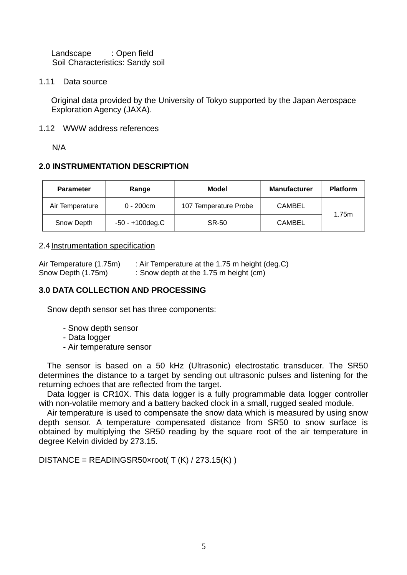Landscape : Open field Soil Characteristics: Sandy soil

### 1.11 Data source

Original data provided by the University of Tokyo supported by the Japan Aerospace Exploration Agency (JAXA).

### 1.12 WWW address references

N/A

# **2.0 INSTRUMENTATION DESCRIPTION**

| <b>Parameter</b> | Range              | Model                 | <b>Manufacturer</b> | <b>Platform</b> |
|------------------|--------------------|-----------------------|---------------------|-----------------|
| Air Temperature  | $0 - 200$ cm       | 107 Temperature Probe | <b>CAMBEL</b>       |                 |
| Snow Depth       | $-50 - +100$ deg.C | SR-50                 | <b>CAMBEL</b>       | 1.75m           |

## 2.4 Instrumentation specification

| Air Temperature (1.75m) | : Air Temperature at the 1.75 m height (deg.C) |
|-------------------------|------------------------------------------------|
| Snow Depth (1.75m)      | : Snow depth at the 1.75 m height $(cm)$       |

# **3.0 DATA COLLECTION AND PROCESSING**

Snow depth sensor set has three components:

- Snow depth sensor
- Data logger
- Air temperature sensor

The sensor is based on a 50 kHz (Ultrasonic) electrostatic transducer. The SR50 determines the distance to a target by sending out ultrasonic pulses and listening for the returning echoes that are reflected from the target.

Data logger is CR10X. This data logger is a fully programmable data logger controller with non-volatile memory and a battery backed clock in a small, rugged sealed module.

Air temperature is used to compensate the snow data which is measured by using snow depth sensor. A temperature compensated distance from SR50 to snow surface is obtained by multiplying the SR50 reading by the square root of the air temperature in degree Kelvin divided by 273.15.

 $DISTANCE = READINGSRS0×root(T (K) / 273.15(K))$